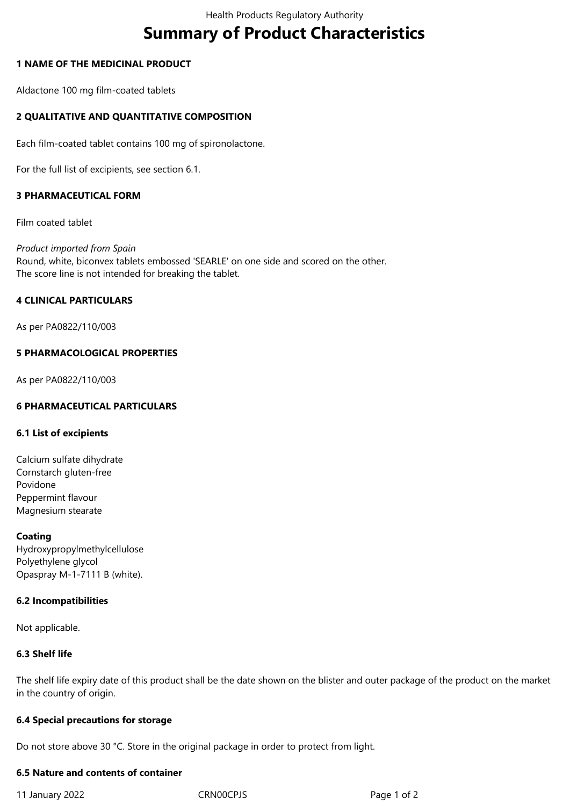# **Summary of Product Characteristics**

## **1 NAME OF THE MEDICINAL PRODUCT**

Aldactone 100 mg film-coated tablets

## **2 QUALITATIVE AND QUANTITATIVE COMPOSITION**

Each film-coated tablet contains 100 mg of spironolactone.

For the full list of excipients, see section 6.1.

## **3 PHARMACEUTICAL FORM**

Film coated tablet

*Product imported from Spain* Round, white, biconvex tablets embossed 'SEARLE' on one side and scored on the other. The score line is not intended for breaking the tablet.

#### **4 CLINICAL PARTICULARS**

As per PA0822/110/003

#### **5 PHARMACOLOGICAL PROPERTIES**

As per PA0822/110/003

## **6 PHARMACEUTICAL PARTICULARS**

#### **6.1 List of excipients**

Calcium sulfate dihydrate Cornstarch gluten-free Povidone Peppermint flavour Magnesium stearate

#### **Coating**

Hydroxypropylmethylcellulose Polyethylene glycol Opaspray M-1-7111 B (white).

#### **6.2 Incompatibilities**

Not applicable.

#### **6.3 Shelf life**

The shelf life expiry date of this product shall be the date shown on the blister and outer package of the product on the market in the country of origin.

#### **6.4 Special precautions for storage**

Do not store above 30 °C. Store in the original package in order to protect from light.

## **6.5 Nature and contents of container**

11 January 2022 CRN00CPJS Page 1 of 2